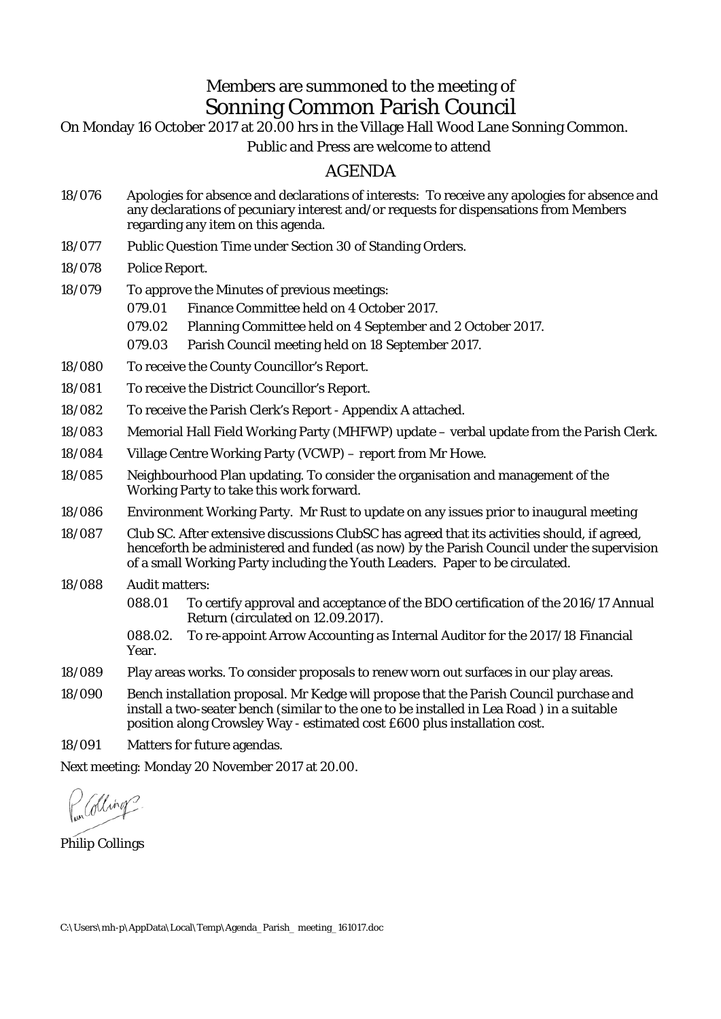## Members are summoned to the meeting of Sonning Common Parish Council

On Monday 16 October 2017 at 20.00 hrs in the Village Hall Wood Lane Sonning Common.

Public and Press are welcome to attend

## AGENDA

- 18/076 Apologies for absence and declarations of interests: To receive any apologies for absence and any declarations of pecuniary interest and/or requests for dispensations from Members regarding any item on this agenda.
- 18/077 Public Question Time under Section 30 of Standing Orders.
- 18/078 Police Report.

18/079 To approve the Minutes of previous meetings: 079.01 Finance Committee held on 4 October 2017.

- 079.02 Planning Committee held on 4 September and 2 October 2017.
- 079.03 Parish Council meeting held on 18 September 2017.
- 18/080 To receive the County Councillor's Report.
- 18/081 To receive the District Councillor's Report.
- 18/082 To receive the Parish Clerk's Report Appendix A attached.
- 18/083 Memorial Hall Field Working Party (MHFWP) update verbal update from the Parish Clerk.
- 18/084 Village Centre Working Party (VCWP) report from Mr Howe.
- 18/085 Neighbourhood Plan updating. To consider the organisation and management of the Working Party to take this work forward.
- 18/086 Environment Working Party. Mr Rust to update on any issues prior to inaugural meeting
- 18/087 Club SC. After extensive discussions ClubSC has agreed that its activities should, if agreed, henceforth be administered and funded (as now) by the Parish Council under the supervision of a small Working Party including the Youth Leaders. Paper to be circulated.
- 18/088 Audit matters:
	- 088.01 To certify approval and acceptance of the BDO certification of the 2016/17 Annual Return (circulated on 12.09.2017).

088.02. To re-appoint Arrow Accounting as Internal Auditor for the 2017/18 Financial Year.

- 18/089 Play areas works. To consider proposals to renew worn out surfaces in our play areas.
- 18/090 Bench installation proposal. Mr Kedge will propose that the Parish Council purchase and install a two-seater bench (similar to the one to be installed in Lea Road ) in a suitable position along Crowsley Way - estimated cost £600 plus installation cost.

18/091 Matters for future agendas.

Next meeting: Monday 20 November 2017 at 20.00.

alling

Philip Collings